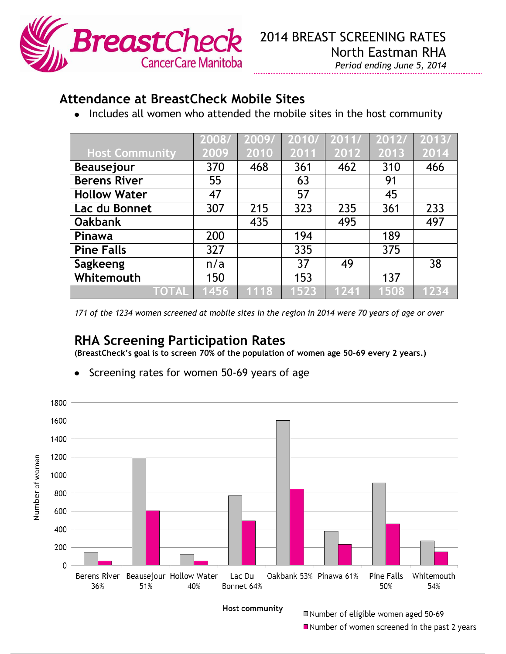

## **Attendance at BreastCheck Mobile Sites**

• Includes all women who attended the mobile sites in the host community

|                       | 2008/ | 2009/ | 2010/ | 2011/ | 2012/ | 2013/ |
|-----------------------|-------|-------|-------|-------|-------|-------|
| <b>Host Community</b> | 2009  | 2010  | 2011  | 2012  | 2013  | 2014  |
| <b>Beausejour</b>     | 370   | 468   | 361   | 462   | 310   | 466   |
| <b>Berens River</b>   | 55    |       | 63    |       | 91    |       |
| <b>Hollow Water</b>   | 47    |       | 57    |       | 45    |       |
| Lac du Bonnet         | 307   | 215   | 323   | 235   | 361   | 233   |
| <b>Oakbank</b>        |       | 435   |       | 495   |       | 497   |
| Pinawa                | 200   |       | 194   |       | 189   |       |
| <b>Pine Falls</b>     | 327   |       | 335   |       | 375   |       |
| Sagkeeng              | n/a   |       | 37    | 49    |       | 38    |
| Whitemouth            | 150   |       | 153   |       | 137   |       |
| <b>TOTAL</b>          | 1456  | 1118  | 1523  | 1241  | 1508  | 1234  |

*171 of the 1234 women screened at mobile sites in the region in 2014 were 70 years of age or over*

## **RHA Screening Participation Rates**

**(BreastCheck's goal is to screen 70% of the population of women age 50-69 every 2 years.)**



Screening rates for women 50-69 years of age $\bullet$ 

Host community

Number of eligible women aged 50-69 Number of women screened in the past 2 years